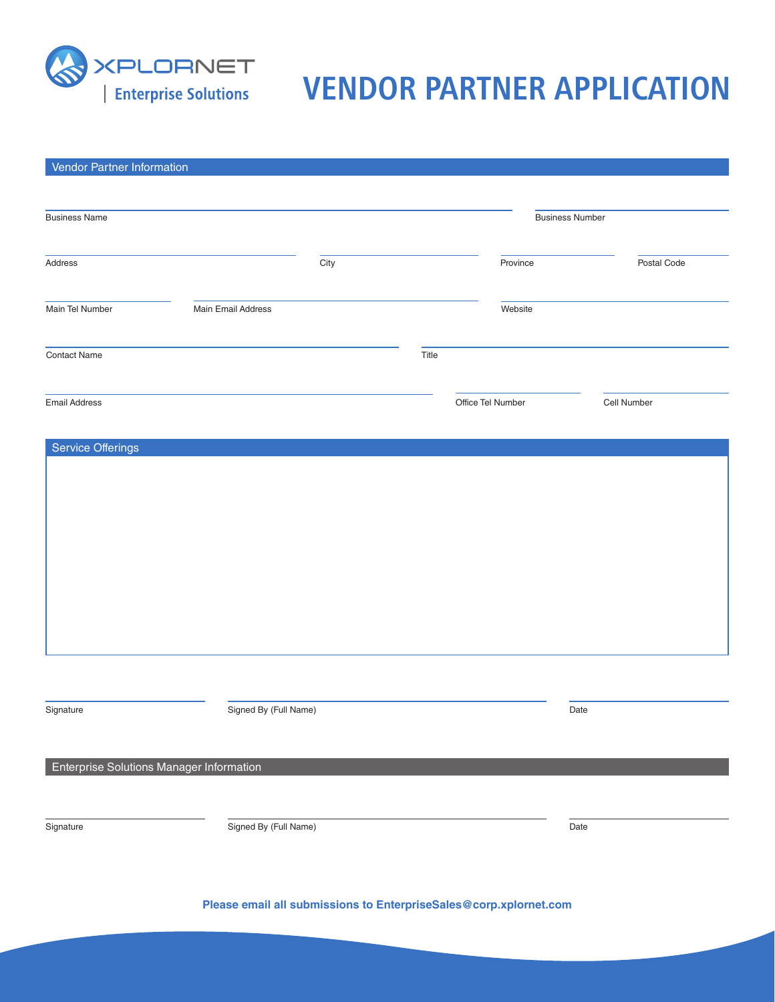

# **VERT THE SOLUTION SERVICE SOLUTION VENDOR PARTNER APPLICATION**

| Vendor Partner Information               |                       |       |                        |             |  |
|------------------------------------------|-----------------------|-------|------------------------|-------------|--|
|                                          |                       |       |                        |             |  |
| <b>Business Name</b>                     |                       |       | <b>Business Number</b> |             |  |
| Address                                  | City                  |       | Province               | Postal Code |  |
| Main Tel Number                          | Main Email Address    |       | Website                |             |  |
| <b>Contact Name</b>                      |                       | Title |                        |             |  |
| <b>Email Address</b>                     |                       |       | Office Tel Number      | Cell Number |  |
| <b>Service Offerings</b>                 |                       |       |                        |             |  |
|                                          |                       |       |                        |             |  |
|                                          |                       |       |                        |             |  |
|                                          |                       |       |                        |             |  |
|                                          |                       |       |                        |             |  |
|                                          |                       |       |                        |             |  |
|                                          |                       |       |                        |             |  |
|                                          |                       |       |                        |             |  |
|                                          |                       |       |                        |             |  |
| Signature                                | Signed By (Full Name) |       |                        | Date        |  |
|                                          |                       |       |                        |             |  |
| Enterprise Solutions Manager Information |                       |       |                        |             |  |
|                                          |                       |       |                        |             |  |
| Signature                                | Signed By (Full Name) |       |                        | Date        |  |
|                                          |                       |       |                        |             |  |
|                                          |                       |       |                        |             |  |

**Please email all submissions to EnterpriseSales@corp.xplornet.com**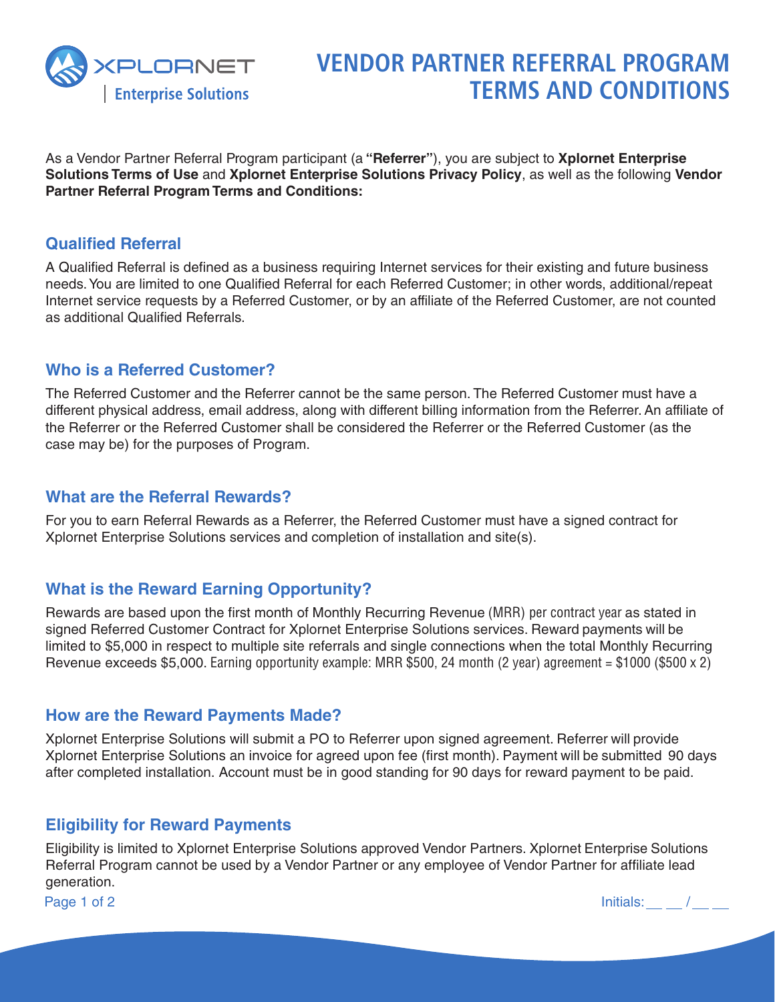

# **VENDOR PARTNER REFERRAL PROGRAM TERMS AND CONDITIONS**

As a Vendor Partner Referral Program participant (a **"Referrer"**), you are subject to **Xplornet Enterprise Solutions Terms of Use** and **Xplornet Enterprise Solutions Privacy Policy**, as well as the following **Vendor Partner Referral Program Terms and Conditions:**

#### **Qualified Referral**

A Qualified Referral is defined as a business requiring Internet services for their existing and future business needs. You are limited to one Qualified Referral for each Referred Customer; in other words, additional/repeat Internet service requests by a Referred Customer, or by an affiliate of the Referred Customer, are not counted as additional Qualified Referrals.

## **Who is a Referred Customer?**

The Referred Customer and the Referrer cannot be the same person. The Referred Customer must have a different physical address, email address, along with different billing information from the Referrer. An affiliate of the Referrer or the Referred Customer shall be considered the Referrer or the Referred Customer (as the case may be) for the purposes of Program.

#### **What are the Referral Rewards?**

For you to earn Referral Rewards as a Referrer, the Referred Customer must have a signed contract for Xplornet Enterprise Solutions services and completion of installation and site(s).

## **What is the Reward Earning Opportunity?**

Rewards are based upon the first month of Monthly Recurring Revenue (MRR) per contract year as stated in signed Referred Customer Contract for Xplornet Enterprise Solutions services. Reward payments will be limited to \$5,000 in respect to multiple site referrals and single connections when the total Monthly Recurring Revenue exceeds \$5,000. Earning opportunity example: MRR \$500, 24 month (2 year) agreement = \$1000 (\$500 x 2)

#### **How are the Reward Payments Made?**

Xplornet Enterprise Solutions will submit a PO to Referrer upon signed agreement. Referrer will provide Xplornet Enterprise Solutions an invoice for agreed upon fee (first month). Payment will be submitted 90 days after completed installation. Account must be in good standing for 90 days for reward payment to be paid.

#### **Eligibility for Reward Payments**

Eligibility is limited to Xplornet Enterprise Solutions approved Vendor Partners. Xplornet Enterprise Solutions Referral Program cannot be used by a Vendor Partner or any employee of Vendor Partner for affiliate lead generation.

Page 1 of 2  $\sqrt{2}$   $\sqrt{2}$   $\sqrt{2}$   $\sqrt{2}$   $\sqrt{2}$   $\sqrt{2}$   $\sqrt{2}$   $\sqrt{2}$   $\sqrt{2}$   $\sqrt{2}$   $\sqrt{2}$   $\sqrt{2}$   $\sqrt{2}$   $\sqrt{2}$   $\sqrt{2}$   $\sqrt{2}$   $\sqrt{2}$   $\sqrt{2}$   $\sqrt{2}$   $\sqrt{2}$   $\sqrt{2}$   $\sqrt{2}$   $\sqrt{2}$   $\sqrt{2}$   $\sqrt{2}$   $\sqrt{2}$